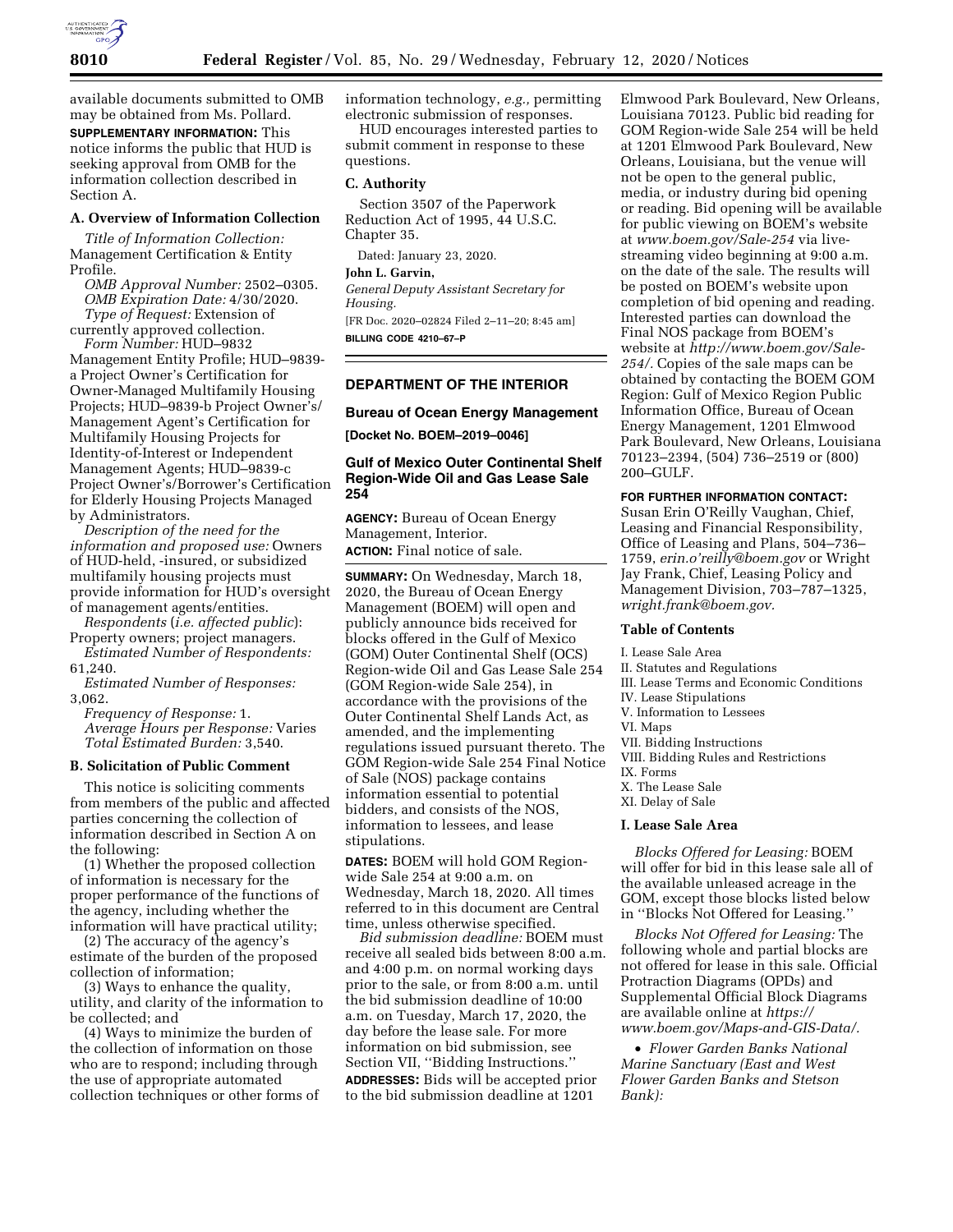

available documents submitted to OMB may be obtained from Ms. Pollard. **SUPPLEMENTARY INFORMATION:** This notice informs the public that HUD is seeking approval from OMB for the information collection described in Section A.

### **A. Overview of Information Collection**

*Title of Information Collection:*  Management Certification & Entity Profile.

*OMB Approval Number:* 2502–0305. *OMB Expiration Date:* 4/30/2020. *Type of Request:* Extension of

currently approved collection. *Form Number:* HUD–9832

Management Entity Profile; HUD–9839 a Project Owner's Certification for Owner-Managed Multifamily Housing Projects; HUD–9839-b Project Owner's/ Management Agent's Certification for Multifamily Housing Projects for Identity-of-Interest or Independent Management Agents; HUD–9839-c Project Owner's/Borrower's Certification for Elderly Housing Projects Managed by Administrators.

*Description of the need for the information and proposed use:* Owners of HUD-held, -insured, or subsidized multifamily housing projects must provide information for HUD's oversight of management agents/entities.

*Respondents* (*i.e. affected public*): Property owners; project managers.

*Estimated Number of Respondents:*  61,240.

*Estimated Number of Responses:*  3,062.

*Frequency of Response:* 1. *Average Hours per Response:* Varies *Total Estimated Burden:* 3,540.

## **B. Solicitation of Public Comment**

This notice is soliciting comments from members of the public and affected parties concerning the collection of information described in Section A on the following:

(1) Whether the proposed collection of information is necessary for the proper performance of the functions of the agency, including whether the information will have practical utility;

(2) The accuracy of the agency's estimate of the burden of the proposed collection of information;

(3) Ways to enhance the quality, utility, and clarity of the information to be collected; and

(4) Ways to minimize the burden of the collection of information on those who are to respond; including through the use of appropriate automated collection techniques or other forms of information technology, *e.g.,* permitting electronic submission of responses.

HUD encourages interested parties to submit comment in response to these questions.

### **C. Authority**

Section 3507 of the Paperwork Reduction Act of 1995, 44 U.S.C. Chapter 35.

Dated: January 23, 2020.

**John L. Garvin,** 

*General Deputy Assistant Secretary for Housing.* 

[FR Doc. 2020–02824 Filed 2–11–20; 8:45 am] **BILLING CODE 4210–67–P** 

### **DEPARTMENT OF THE INTERIOR**

#### **Bureau of Ocean Energy Management**

**[Docket No. BOEM–2019–0046]** 

### **Gulf of Mexico Outer Continental Shelf Region-Wide Oil and Gas Lease Sale 254**

**AGENCY:** Bureau of Ocean Energy Management, Interior. **ACTION:** Final notice of sale.

**SUMMARY:** On Wednesday, March 18, 2020, the Bureau of Ocean Energy Management (BOEM) will open and publicly announce bids received for blocks offered in the Gulf of Mexico (GOM) Outer Continental Shelf (OCS) Region-wide Oil and Gas Lease Sale 254 (GOM Region-wide Sale 254), in accordance with the provisions of the Outer Continental Shelf Lands Act, as amended, and the implementing regulations issued pursuant thereto. The GOM Region-wide Sale 254 Final Notice of Sale (NOS) package contains information essential to potential bidders, and consists of the NOS, information to lessees, and lease stipulations.

**DATES:** BOEM will hold GOM Regionwide Sale 254 at 9:00 a.m. on Wednesday, March 18, 2020. All times referred to in this document are Central time, unless otherwise specified.

*Bid submission deadline:* BOEM must receive all sealed bids between 8:00 a.m. and 4:00 p.m. on normal working days prior to the sale, or from 8:00 a.m. until the bid submission deadline of 10:00 a.m. on Tuesday, March 17, 2020, the day before the lease sale. For more information on bid submission, see Section VII, ''Bidding Instructions.'' **ADDRESSES:** Bids will be accepted prior to the bid submission deadline at 1201

Elmwood Park Boulevard, New Orleans, Louisiana 70123. Public bid reading for GOM Region-wide Sale 254 will be held at 1201 Elmwood Park Boulevard, New Orleans, Louisiana, but the venue will not be open to the general public, media, or industry during bid opening or reading. Bid opening will be available for public viewing on BOEM's website at *[www.boem.gov/Sale-254](http://www.boem.gov/Sale-254)* via livestreaming video beginning at 9:00 a.m. on the date of the sale. The results will be posted on BOEM's website upon completion of bid opening and reading. Interested parties can download the Final NOS package from BOEM's website at *[http://www.boem.gov/Sale-](http://www.boem.gov/Sale-254/)[254/.](http://www.boem.gov/Sale-254/)* Copies of the sale maps can be obtained by contacting the BOEM GOM Region: Gulf of Mexico Region Public Information Office, Bureau of Ocean Energy Management, 1201 Elmwood Park Boulevard, New Orleans, Louisiana 70123–2394, (504) 736–2519 or (800) 200–GULF.

### **FOR FURTHER INFORMATION CONTACT:**

Susan Erin O'Reilly Vaughan, Chief, Leasing and Financial Responsibility, Office of Leasing and Plans, 504–736– 1759, *[erin.o'reilly@boem.gov](mailto:erin.o)* or Wright Jay Frank, Chief, Leasing Policy and Management Division, 703–787–1325, *[wright.frank@boem.gov.](mailto:wright.frank@boem.gov)* 

### **Table of Contents**

I. Lease Sale Area II. Statutes and Regulations III. Lease Terms and Economic Conditions IV. Lease Stipulations V. Information to Lessees VI. Maps VII. Bidding Instructions VIII. Bidding Rules and Restrictions IX. Forms X. The Lease Sale XI. Delay of Sale

### **I. Lease Sale Area**

*Blocks Offered for Leasing:* BOEM will offer for bid in this lease sale all of the available unleased acreage in the GOM, except those blocks listed below in ''Blocks Not Offered for Leasing.''

*Blocks Not Offered for Leasing:* The following whole and partial blocks are not offered for lease in this sale. Official Protraction Diagrams (OPDs) and Supplemental Official Block Diagrams are available online at *[https://](https://www.boem.gov/Maps-and-GIS-Data/) [www.boem.gov/Maps-and-GIS-Data/.](https://www.boem.gov/Maps-and-GIS-Data/)* 

• *Flower Garden Banks National Marine Sanctuary (East and West Flower Garden Banks and Stetson Bank):*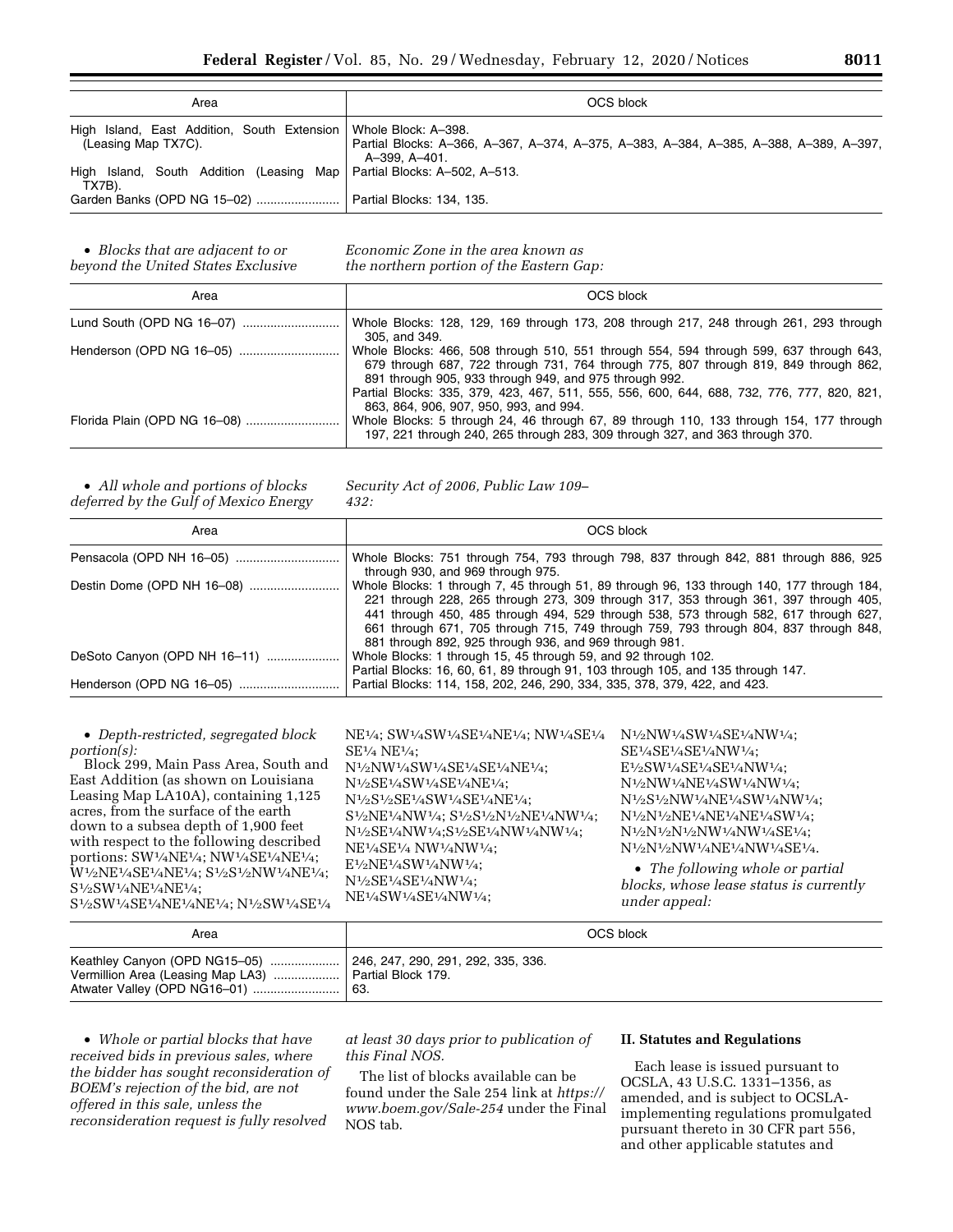| Area                                                                                     | OCS block                                                                                              |
|------------------------------------------------------------------------------------------|--------------------------------------------------------------------------------------------------------|
| High Island, East Addition, South Extension   Whole Block: A-398.<br>(Leasing Map TX7C). | Partial Blocks: A-366, A-367, A-374, A-375, A-383, A-384, A-385, A-388, A-389, A-397,<br>A-399, A-401. |
| High Island, South Addition (Leasing Map   Partial Blocks: A-502, A-513.<br>TX7B).       |                                                                                                        |
| Garden Banks (OPD NG 15-02)    Partial Blocks: 134, 135.                                 |                                                                                                        |

• *Blocks that are adjacent to or beyond the United States Exclusive*  *Economic Zone in the area known as the northern portion of the Eastern Gap:* 

| Area | OCS block                                                                                                                                                                      |  |  |  |
|------|--------------------------------------------------------------------------------------------------------------------------------------------------------------------------------|--|--|--|
|      | Whole Blocks: 128, 129, 169 through 173, 208 through 217, 248 through 261, 293 through<br>305. and 349.                                                                        |  |  |  |
|      | Whole Blocks: 466, 508 through 510, 551 through 554, 594 through 599, 637 through 643,<br>679 through 687, 722 through 731, 764 through 775, 807 through 819, 849 through 862, |  |  |  |
|      | 891 through 905, 933 through 949, and 975 through 992.                                                                                                                         |  |  |  |
|      | Partial Blocks: 335, 379, 423, 467, 511, 555, 556, 600, 644, 688, 732, 776, 777, 820, 821,                                                                                     |  |  |  |
|      | 863, 864, 906, 907, 950, 993, and 994.                                                                                                                                         |  |  |  |
|      | Whole Blocks: 5 through 24, 46 through 67, 89 through 110, 133 through 154, 177 through                                                                                        |  |  |  |
|      | 197, 221 through 240, 265 through 283, 309 through 327, and 363 through 370.                                                                                                   |  |  |  |

• *All whole and portions of blocks deferred by the Gulf of Mexico Energy*  *Security Act of 2006, Public Law 109– 432:* 

| Area                         | OCS block                                                                                                                                                                                                                                                                                                                                                                                                                    |  |  |
|------------------------------|------------------------------------------------------------------------------------------------------------------------------------------------------------------------------------------------------------------------------------------------------------------------------------------------------------------------------------------------------------------------------------------------------------------------------|--|--|
|                              | Whole Blocks: 751 through 754, 793 through 798, 837 through 842, 881 through 886, 925<br>through 930, and 969 through 975.                                                                                                                                                                                                                                                                                                   |  |  |
|                              | Whole Blocks: 1 through 7, 45 through 51, 89 through 96, 133 through 140, 177 through 184,<br>221 through 228, 265 through 273, 309 through 317, 353 through 361, 397 through 405,<br>441 through 450, 485 through 494, 529 through 538, 573 through 582, 617 through 627,<br>661 through 671, 705 through 715, 749 through 759, 793 through 804, 837 through 848,<br>881 through 892, 925 through 936, and 969 through 981. |  |  |
| DeSoto Canyon (OPD NH 16-11) | Whole Blocks: 1 through 15, 45 through 59, and 92 through 102.<br>Partial Blocks: 16, 60, 61, 89 through 91, 103 through 105, and 135 through 147.                                                                                                                                                                                                                                                                           |  |  |
|                              | Partial Blocks: 114, 158, 202, 246, 290, 334, 335, 378, 379, 422, and 423.                                                                                                                                                                                                                                                                                                                                                   |  |  |

• *Depth-restricted, segregated block portion(s):* 

Block 299, Main Pass Area, South and East Addition (as shown on Louisiana Leasing Map LA10A), containing 1,125 acres, from the surface of the earth down to a subsea depth of 1,900 feet with respect to the following described portions: SW1⁄4NE1⁄4; NW1⁄4SE1⁄4NE1⁄4; W1⁄2NE1⁄4SE1⁄4NE1⁄4; S1⁄2S1⁄2NW1⁄4NE1⁄4; S<sup>1</sup>/2SW<sup>1</sup>/4NE<sup>1</sup>/4NE<sup>1</sup>/4; S1⁄2SW1⁄4SE1⁄4NE1⁄4NE1⁄4; N1⁄2SW1⁄4SE1⁄4

NE1⁄4; SW1⁄4SW1⁄4SE1⁄4NE1⁄4; NW1⁄4SE1⁄4 SE1⁄4 NE1⁄4; N1⁄2NW1⁄4SW1⁄4SE1⁄4SE1⁄4NE1⁄4; N1⁄2SE1⁄4SW1⁄4SE1⁄4NE1⁄4; N1⁄2S1⁄2SE1⁄4SW1⁄4SE1⁄4NE1⁄4; S1⁄2NE1⁄4NW1⁄4; S1⁄2S1⁄2N1⁄2NE1⁄4NW1⁄4; N<sup>1</sup>/2SE<sup>1</sup>/4NW<sup>1</sup>/4;S<sup>1</sup>/2SE<sup>1</sup>/4NW<sup>1</sup>/4; NE1⁄4SE1⁄4 NW1⁄4NW1⁄4; E1⁄2NE1⁄4SW1⁄4NW1⁄4; N1⁄2SE1⁄4SE1⁄4NW1⁄4; NE1⁄4SW1⁄4SE1⁄4NW1⁄4;

N1⁄2NW1⁄4SW1⁄4SE1⁄4NW1⁄4; SE1⁄4SE1⁄4SE1⁄4NW1⁄4; E1⁄2SW1⁄4SE1⁄4SE1⁄4NW1⁄4; N1⁄2NW1⁄4NE1⁄4SW1⁄4NW1⁄4; N1⁄2S1⁄2NW1⁄4NE1⁄4SW1⁄4NW1⁄4; N1⁄2N1⁄2NE1⁄4NE1⁄4NE1⁄4SW1⁄4; N1⁄2N1⁄2N1⁄2NW1⁄4NW1⁄4SE1⁄4; N1⁄2N1⁄2NW1⁄4NE1⁄4NW1⁄4SE1⁄4.

• *The following whole or partial blocks, whose lease status is currently under appeal:* 

| Area                                                    | OCS block        |
|---------------------------------------------------------|------------------|
| Vermillion Area (Leasing Map LA3)    Partial Block 179. | <sup>+</sup> 63. |

• *Whole or partial blocks that have received bids in previous sales, where the bidder has sought reconsideration of BOEM's rejection of the bid, are not offered in this sale, unless the reconsideration request is fully resolved* 

*at least 30 days prior to publication of this Final NOS.* 

The list of blocks available can be found under the Sale 254 link at *[https://](https://www.boem.gov/Sale-254) [www.boem.gov/Sale-254](https://www.boem.gov/Sale-254)* under the Final NOS tab.

### **II. Statutes and Regulations**

Each lease is issued pursuant to OCSLA, 43 U.S.C. 1331–1356, as amended, and is subject to OCSLAimplementing regulations promulgated pursuant thereto in 30 CFR part 556, and other applicable statutes and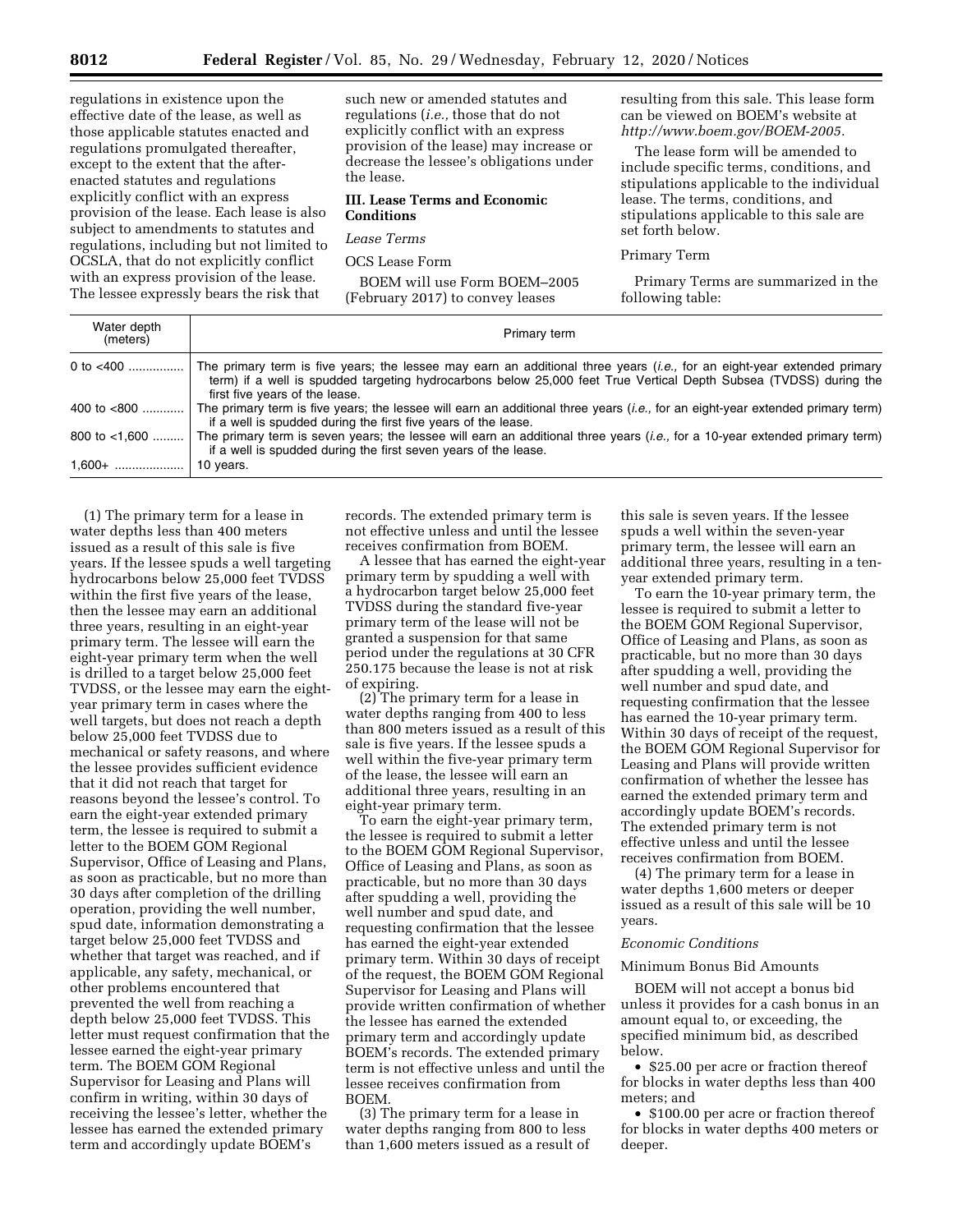regulations in existence upon the effective date of the lease, as well as those applicable statutes enacted and regulations promulgated thereafter, except to the extent that the afterenacted statutes and regulations explicitly conflict with an express provision of the lease. Each lease is also subject to amendments to statutes and regulations, including but not limited to OCSLA, that do not explicitly conflict with an express provision of the lease. The lessee expressly bears the risk that

such new or amended statutes and regulations (*i.e.,* those that do not explicitly conflict with an express provision of the lease) may increase or decrease the lessee's obligations under the lease.

### **III. Lease Terms and Economic Conditions**

*Lease Terms* 

OCS Lease Form

BOEM will use Form BOEM–2005 (February 2017) to convey leases

resulting from this sale. This lease form can be viewed on BOEM's website at *[http://www.boem.gov/BOEM-2005.](http://www.boem.gov/BOEM-2005)* 

The lease form will be amended to include specific terms, conditions, and stipulations applicable to the individual lease. The terms, conditions, and stipulations applicable to this sale are set forth below.

### Primary Term

Primary Terms are summarized in the following table:

| Water depth<br>(meters) | Primary term                                                                                                                                                                                                                                                                           |
|-------------------------|----------------------------------------------------------------------------------------------------------------------------------------------------------------------------------------------------------------------------------------------------------------------------------------|
| 0 to $<$ 400            | The primary term is five years; the lessee may earn an additional three years <i>(i.e.</i> , for an eight-year extended primary<br>term) if a well is spudded targeting hydrocarbons below 25,000 feet True Vertical Depth Subsea (TVDSS) during the<br>first five years of the lease. |
| 400 to $<800$           | The primary term is five years; the lessee will earn an additional three years <i>(i.e.</i> , for an eight-year extended primary term)<br>if a well is spudded during the first five years of the lease.                                                                               |
| 800 to $<1.600$         | The primary term is seven years; the lessee will earn an additional three years <i>(i.e.,</i> for a 10-year extended primary term)<br>if a well is spudded during the first seven years of the lease.                                                                                  |
| $1,600+$                | 10 years.                                                                                                                                                                                                                                                                              |

(1) The primary term for a lease in water depths less than 400 meters issued as a result of this sale is five years. If the lessee spuds a well targeting hydrocarbons below 25,000 feet TVDSS within the first five years of the lease, then the lessee may earn an additional three years, resulting in an eight-year primary term. The lessee will earn the eight-year primary term when the well is drilled to a target below 25,000 feet TVDSS, or the lessee may earn the eightyear primary term in cases where the well targets, but does not reach a depth below 25,000 feet TVDSS due to mechanical or safety reasons, and where the lessee provides sufficient evidence that it did not reach that target for reasons beyond the lessee's control. To earn the eight-year extended primary term, the lessee is required to submit a letter to the BOEM GOM Regional Supervisor, Office of Leasing and Plans, as soon as practicable, but no more than 30 days after completion of the drilling operation, providing the well number, spud date, information demonstrating a target below 25,000 feet TVDSS and whether that target was reached, and if applicable, any safety, mechanical, or other problems encountered that prevented the well from reaching a depth below 25,000 feet TVDSS. This letter must request confirmation that the lessee earned the eight-year primary term. The BOEM GOM Regional Supervisor for Leasing and Plans will confirm in writing, within 30 days of receiving the lessee's letter, whether the lessee has earned the extended primary term and accordingly update BOEM's

records. The extended primary term is not effective unless and until the lessee receives confirmation from BOEM.

A lessee that has earned the eight-year primary term by spudding a well with a hydrocarbon target below 25,000 feet TVDSS during the standard five-year primary term of the lease will not be granted a suspension for that same period under the regulations at 30 CFR 250.175 because the lease is not at risk of expiring.

(2) The primary term for a lease in water depths ranging from 400 to less than 800 meters issued as a result of this sale is five years. If the lessee spuds a well within the five-year primary term of the lease, the lessee will earn an additional three years, resulting in an eight-year primary term.

To earn the eight-year primary term, the lessee is required to submit a letter to the BOEM GOM Regional Supervisor, Office of Leasing and Plans, as soon as practicable, but no more than 30 days after spudding a well, providing the well number and spud date, and requesting confirmation that the lessee has earned the eight-year extended primary term. Within 30 days of receipt of the request, the BOEM GOM Regional Supervisor for Leasing and Plans will provide written confirmation of whether the lessee has earned the extended primary term and accordingly update BOEM's records. The extended primary term is not effective unless and until the lessee receives confirmation from BOEM.

(3) The primary term for a lease in water depths ranging from 800 to less than 1,600 meters issued as a result of

this sale is seven years. If the lessee spuds a well within the seven-year primary term, the lessee will earn an additional three years, resulting in a tenyear extended primary term.

To earn the 10-year primary term, the lessee is required to submit a letter to the BOEM GOM Regional Supervisor, Office of Leasing and Plans, as soon as practicable, but no more than 30 days after spudding a well, providing the well number and spud date, and requesting confirmation that the lessee has earned the 10-year primary term. Within 30 days of receipt of the request, the BOEM GOM Regional Supervisor for Leasing and Plans will provide written confirmation of whether the lessee has earned the extended primary term and accordingly update BOEM's records. The extended primary term is not effective unless and until the lessee receives confirmation from BOEM.

(4) The primary term for a lease in water depths 1,600 meters or deeper issued as a result of this sale will be 10 years.

#### *Economic Conditions*

#### Minimum Bonus Bid Amounts

BOEM will not accept a bonus bid unless it provides for a cash bonus in an amount equal to, or exceeding, the specified minimum bid, as described below.

• \$25.00 per acre or fraction thereof for blocks in water depths less than 400 meters; and

• \$100.00 per acre or fraction thereof for blocks in water depths 400 meters or deeper.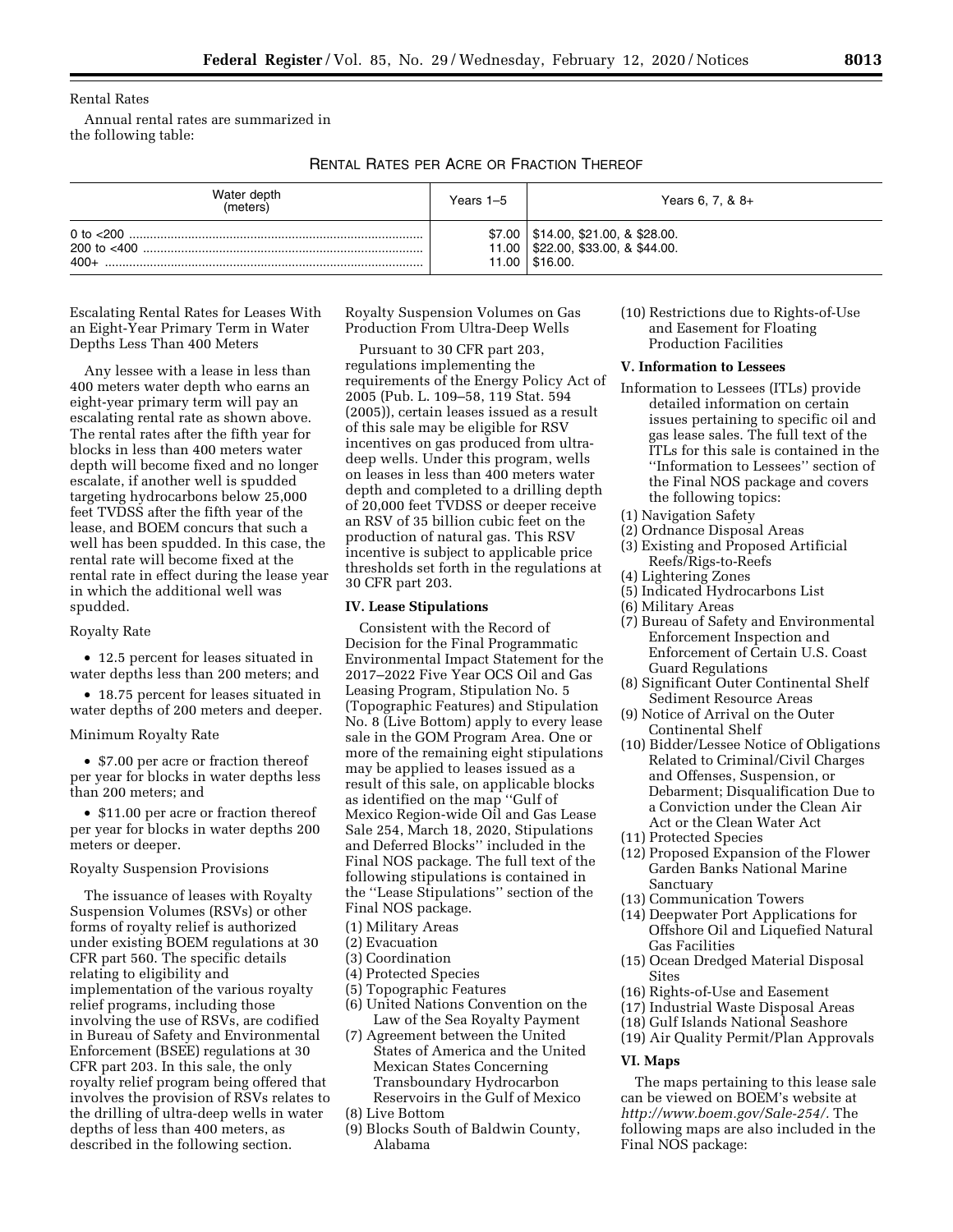Rental Rates

Annual rental rates are summarized in the following table:

# RENTAL RATES PER ACRE OR FRACTION THEREOF

| Water depth<br>(meters) | Years 1–5 | Years 6, 7, & $8+$                                                                           |
|-------------------------|-----------|----------------------------------------------------------------------------------------------|
| $400+$                  | 11.00     | $$7.00$   \$14.00, \$21.00, & \$28.00.<br>$11.00$   \$22.00, \$33.00, & \$44.00.<br>\$16.00. |

Escalating Rental Rates for Leases With an Eight-Year Primary Term in Water Depths Less Than 400 Meters

Any lessee with a lease in less than 400 meters water depth who earns an eight-year primary term will pay an escalating rental rate as shown above. The rental rates after the fifth year for blocks in less than 400 meters water depth will become fixed and no longer escalate, if another well is spudded targeting hydrocarbons below 25,000 feet TVDSS after the fifth year of the lease, and BOEM concurs that such a well has been spudded. In this case, the rental rate will become fixed at the rental rate in effect during the lease year in which the additional well was spudded.

### Royalty Rate

• 12.5 percent for leases situated in water depths less than 200 meters; and

• 18.75 percent for leases situated in water depths of 200 meters and deeper.

### Minimum Royalty Rate

• \$7.00 per acre or fraction thereof per year for blocks in water depths less than 200 meters; and

• \$11.00 per acre or fraction thereof per year for blocks in water depths 200 meters or deeper.

### Royalty Suspension Provisions

The issuance of leases with Royalty Suspension Volumes (RSVs) or other forms of royalty relief is authorized under existing BOEM regulations at 30 CFR part 560. The specific details relating to eligibility and implementation of the various royalty relief programs, including those involving the use of RSVs, are codified in Bureau of Safety and Environmental Enforcement (BSEE) regulations at 30 CFR part 203. In this sale, the only royalty relief program being offered that involves the provision of RSVs relates to the drilling of ultra-deep wells in water depths of less than 400 meters, as described in the following section.

Royalty Suspension Volumes on Gas Production From Ultra-Deep Wells

Pursuant to 30 CFR part 203, regulations implementing the requirements of the Energy Policy Act of 2005 (Pub. L. 109–58, 119 Stat. 594 (2005)), certain leases issued as a result of this sale may be eligible for RSV incentives on gas produced from ultradeep wells. Under this program, wells on leases in less than 400 meters water depth and completed to a drilling depth of 20,000 feet TVDSS or deeper receive an RSV of 35 billion cubic feet on the production of natural gas. This RSV incentive is subject to applicable price thresholds set forth in the regulations at 30 CFR part 203.

### **IV. Lease Stipulations**

Consistent with the Record of Decision for the Final Programmatic Environmental Impact Statement for the 2017–2022 Five Year OCS Oil and Gas Leasing Program, Stipulation No. 5 (Topographic Features) and Stipulation No. 8 (Live Bottom) apply to every lease sale in the GOM Program Area. One or more of the remaining eight stipulations may be applied to leases issued as a result of this sale, on applicable blocks as identified on the map ''Gulf of Mexico Region-wide Oil and Gas Lease Sale 254, March 18, 2020, Stipulations and Deferred Blocks'' included in the Final NOS package. The full text of the following stipulations is contained in the ''Lease Stipulations'' section of the Final NOS package.

- (1) Military Areas
- (2) Evacuation
- (3) Coordination
- (4) Protected Species
- (5) Topographic Features
- (6) United Nations Convention on the Law of the Sea Royalty Payment
- (7) Agreement between the United States of America and the United Mexican States Concerning Transboundary Hydrocarbon Reservoirs in the Gulf of Mexico
- (8) Live Bottom
- (9) Blocks South of Baldwin County, Alabama

(10) Restrictions due to Rights-of-Use and Easement for Floating Production Facilities

### **V. Information to Lessees**

- Information to Lessees (ITLs) provide detailed information on certain issues pertaining to specific oil and gas lease sales. The full text of the ITLs for this sale is contained in the ''Information to Lessees'' section of the Final NOS package and covers the following topics:
- (1) Navigation Safety
- (2) Ordnance Disposal Areas
- (3) Existing and Proposed Artificial Reefs/Rigs-to-Reefs
- (4) Lightering Zones
- (5) Indicated Hydrocarbons List
- (6) Military Areas
- (7) Bureau of Safety and Environmental Enforcement Inspection and Enforcement of Certain U.S. Coast Guard Regulations
- (8) Significant Outer Continental Shelf Sediment Resource Areas
- (9) Notice of Arrival on the Outer Continental Shelf
- (10) Bidder/Lessee Notice of Obligations Related to Criminal/Civil Charges and Offenses, Suspension, or Debarment; Disqualification Due to a Conviction under the Clean Air Act or the Clean Water Act
- (11) Protected Species
- (12) Proposed Expansion of the Flower Garden Banks National Marine Sanctuary
- (13) Communication Towers
- (14) Deepwater Port Applications for Offshore Oil and Liquefied Natural Gas Facilities
- (15) Ocean Dredged Material Disposal Sites
- (16) Rights-of-Use and Easement
- (17) Industrial Waste Disposal Areas
- (18) Gulf Islands National Seashore
- (19) Air Quality Permit/Plan Approvals

### **VI. Maps**

The maps pertaining to this lease sale can be viewed on BOEM's website at *[http://www.boem.gov/Sale-254/.](http://www.boem.gov/Sale-254/)* The following maps are also included in the Final NOS package: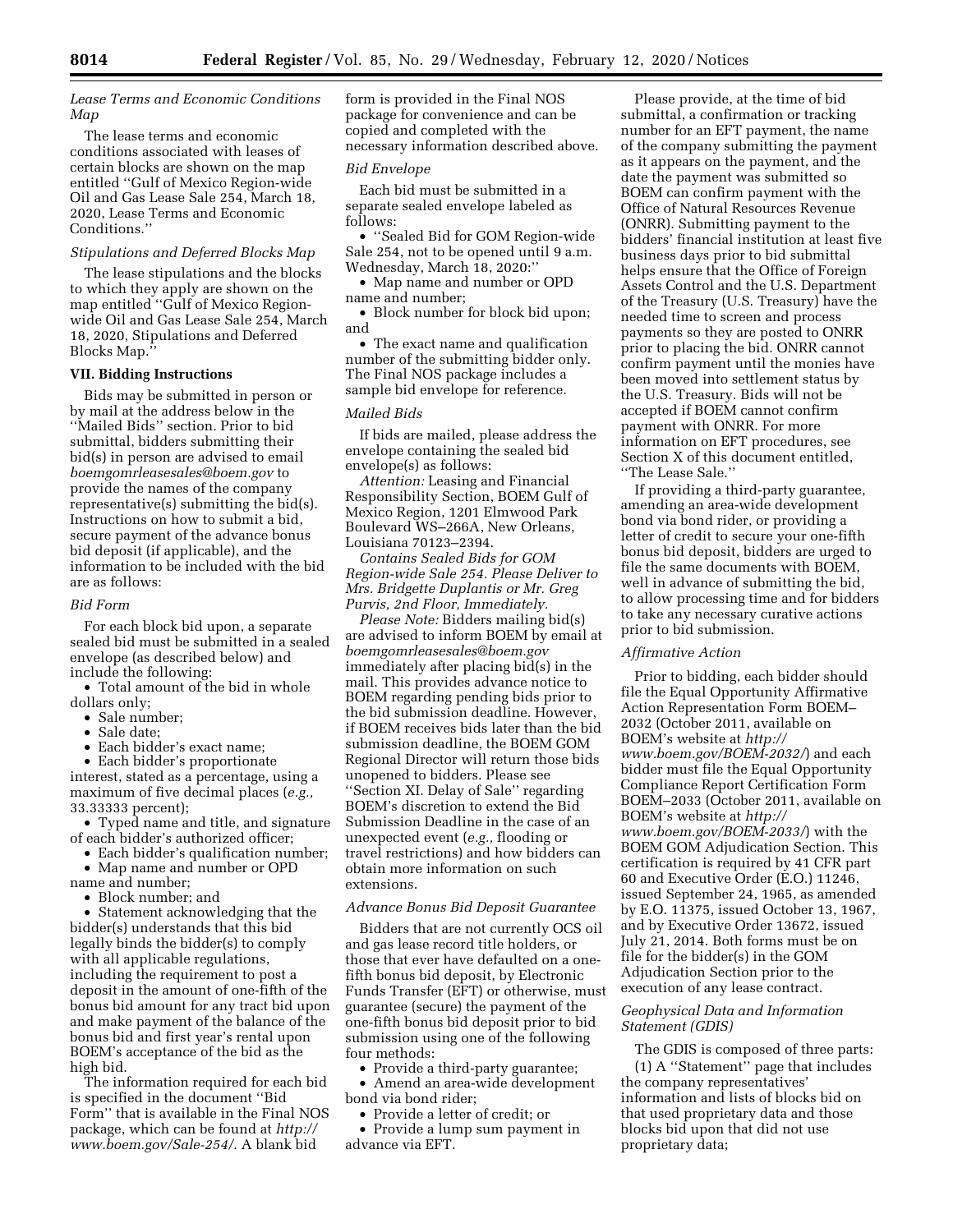### *Lease Terms and Economic Conditions Map*

The lease terms and economic conditions associated with leases of certain blocks are shown on the map entitled ''Gulf of Mexico Region-wide Oil and Gas Lease Sale 254, March 18, 2020, Lease Terms and Economic Conditions.''

## *Stipulations and Deferred Blocks Map*

The lease stipulations and the blocks to which they apply are shown on the map entitled ''Gulf of Mexico Regionwide Oil and Gas Lease Sale 254, March 18, 2020, Stipulations and Deferred Blocks Map.''

### **VII. Bidding Instructions**

Bids may be submitted in person or by mail at the address below in the ''Mailed Bids'' section. Prior to bid submittal, bidders submitting their bid(s) in person are advised to email *[boemgomrleasesales@boem.gov](mailto:boemgomrleasesales@boem.gov)* to provide the names of the company representative(s) submitting the bid(s). Instructions on how to submit a bid, secure payment of the advance bonus bid deposit (if applicable), and the information to be included with the bid are as follows:

## *Bid Form*

For each block bid upon, a separate sealed bid must be submitted in a sealed envelope (as described below) and include the following:

• Total amount of the bid in whole dollars only;

- Sale number;
- Sale date;

• Each bidder's exact name;

• Each bidder's proportionate interest, stated as a percentage, using a maximum of five decimal places (*e.g.,*  33.33333 percent);

• Typed name and title, and signature of each bidder's authorized officer;

• Each bidder's qualification number;

• Map name and number or OPD name and number;

• Block number; and

• Statement acknowledging that the bidder(s) understands that this bid legally binds the bidder(s) to comply with all applicable regulations, including the requirement to post a deposit in the amount of one-fifth of the bonus bid amount for any tract bid upon and make payment of the balance of the bonus bid and first year's rental upon BOEM's acceptance of the bid as the high bid.

The information required for each bid is specified in the document ''Bid Form'' that is available in the Final NOS package, which can be found at *[http://](http://www.boem.gov/Sale-254/)  [www.boem.gov/Sale-254/.](http://www.boem.gov/Sale-254/)* A blank bid

form is provided in the Final NOS package for convenience and can be copied and completed with the necessary information described above.

### *Bid Envelope*

Each bid must be submitted in a separate sealed envelope labeled as follows:

• ''Sealed Bid for GOM Region-wide Sale 254, not to be opened until 9 a.m. Wednesday, March 18, 2020:''

• Map name and number or OPD name and number;

• Block number for block bid upon; and

• The exact name and qualification number of the submitting bidder only. The Final NOS package includes a sample bid envelope for reference.

#### *Mailed Bids*

If bids are mailed, please address the envelope containing the sealed bid envelope(s) as follows:

*Attention:* Leasing and Financial Responsibility Section, BOEM Gulf of Mexico Region, 1201 Elmwood Park Boulevard WS–266A, New Orleans, Louisiana 70123–2394.

*Contains Sealed Bids for GOM Region-wide Sale 254. Please Deliver to Mrs. Bridgette Duplantis or Mr. Greg Purvis, 2nd Floor, Immediately.* 

*Please Note:* Bidders mailing bid(s) are advised to inform BOEM by email at *[boemgomrleasesales@boem.gov](mailto:boemgomrleasesales@boem.gov)*  immediately after placing bid(s) in the mail. This provides advance notice to BOEM regarding pending bids prior to the bid submission deadline. However, if BOEM receives bids later than the bid submission deadline, the BOEM GOM Regional Director will return those bids unopened to bidders. Please see ''Section XI. Delay of Sale'' regarding BOEM's discretion to extend the Bid Submission Deadline in the case of an unexpected event (*e.g.,* flooding or travel restrictions) and how bidders can obtain more information on such extensions.

## *Advance Bonus Bid Deposit Guarantee*

Bidders that are not currently OCS oil and gas lease record title holders, or those that ever have defaulted on a onefifth bonus bid deposit, by Electronic Funds Transfer (EFT) or otherwise, must guarantee (secure) the payment of the one-fifth bonus bid deposit prior to bid submission using one of the following four methods:

• Provide a third-party guarantee;

• Amend an area-wide development bond via bond rider;

• Provide a letter of credit; or

• Provide a lump sum payment in advance via EFT.

Please provide, at the time of bid submittal, a confirmation or tracking number for an EFT payment, the name of the company submitting the payment as it appears on the payment, and the date the payment was submitted so BOEM can confirm payment with the Office of Natural Resources Revenue (ONRR). Submitting payment to the bidders' financial institution at least five business days prior to bid submittal helps ensure that the Office of Foreign Assets Control and the U.S. Department of the Treasury (U.S. Treasury) have the needed time to screen and process payments so they are posted to ONRR prior to placing the bid. ONRR cannot confirm payment until the monies have been moved into settlement status by the U.S. Treasury. Bids will not be accepted if BOEM cannot confirm payment with ONRR. For more information on EFT procedures, see Section X of this document entitled, ''The Lease Sale.''

If providing a third-party guarantee, amending an area-wide development bond via bond rider, or providing a letter of credit to secure your one-fifth bonus bid deposit, bidders are urged to file the same documents with BOEM, well in advance of submitting the bid, to allow processing time and for bidders to take any necessary curative actions prior to bid submission.

### *Affirmative Action*

Prior to bidding, each bidder should file the Equal Opportunity Affirmative Action Representation Form BOEM– 2032 (October 2011, available on BOEM's website at *[http://](http://www.boem.gov/BOEM-2032/) [www.boem.gov/BOEM-2032/](http://www.boem.gov/BOEM-2032/)*) and each bidder must file the Equal Opportunity Compliance Report Certification Form BOEM–2033 (October 2011, available on BOEM's website at *[http://](http://www.boem.gov/BOEM-2033/) [www.boem.gov/BOEM-2033/](http://www.boem.gov/BOEM-2033/)*) with the BOEM GOM Adjudication Section. This certification is required by 41 CFR part 60 and Executive Order (E.O.) 11246, issued September 24, 1965, as amended by E.O. 11375, issued October 13, 1967, and by Executive Order 13672, issued July 21, 2014. Both forms must be on file for the bidder(s) in the GOM Adjudication Section prior to the execution of any lease contract.

# *Geophysical Data and Information Statement (GDIS)*

The GDIS is composed of three parts: (1) A ''Statement'' page that includes the company representatives' information and lists of blocks bid on that used proprietary data and those blocks bid upon that did not use proprietary data;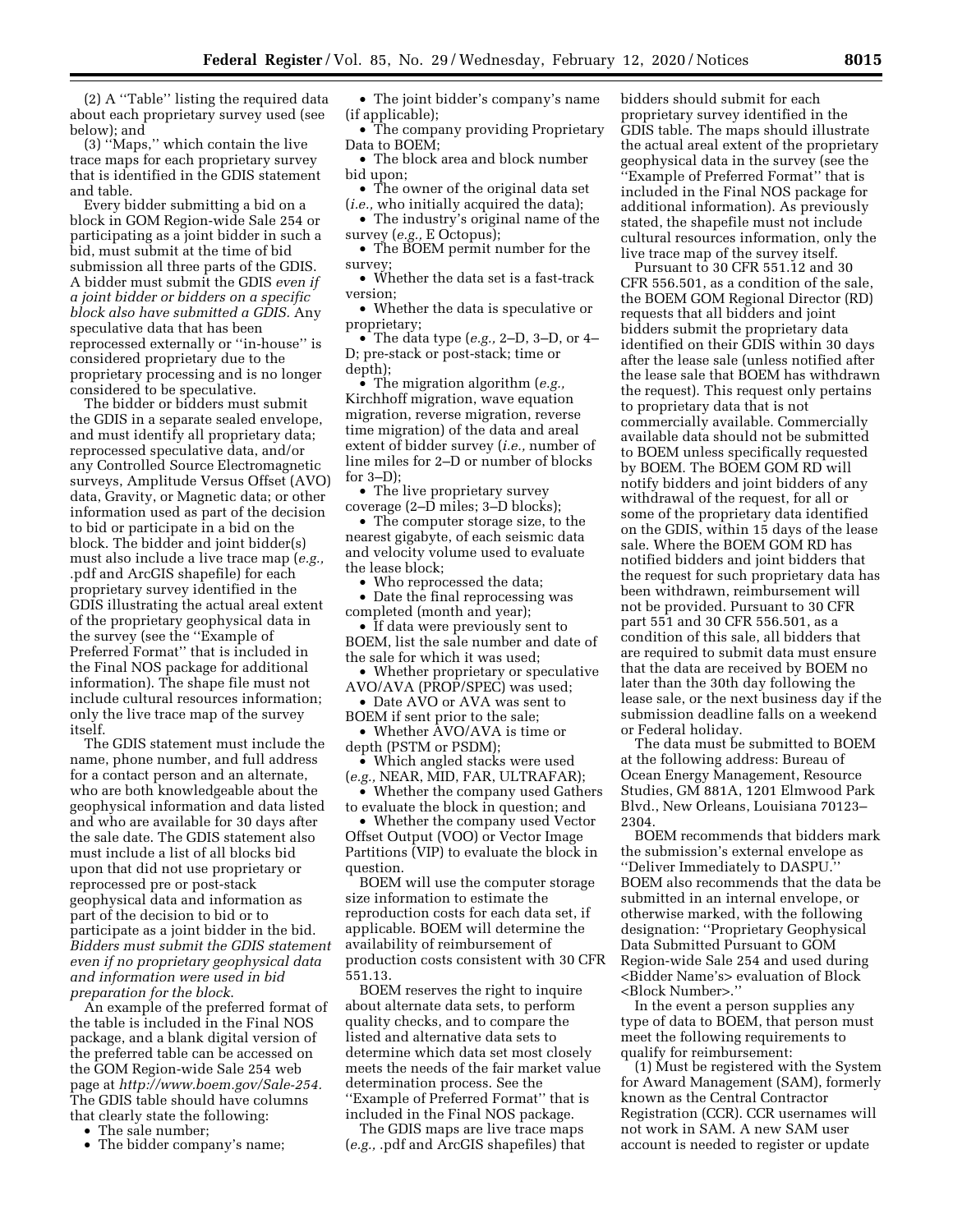(2) A ''Table'' listing the required data about each proprietary survey used (see below); and

(3) ''Maps,'' which contain the live trace maps for each proprietary survey that is identified in the GDIS statement and table.

Every bidder submitting a bid on a block in GOM Region-wide Sale 254 or participating as a joint bidder in such a bid, must submit at the time of bid submission all three parts of the GDIS. A bidder must submit the GDIS *even if a joint bidder or bidders on a specific block also have submitted a GDIS.* Any speculative data that has been reprocessed externally or ''in-house'' is considered proprietary due to the proprietary processing and is no longer considered to be speculative.

The bidder or bidders must submit the GDIS in a separate sealed envelope, and must identify all proprietary data; reprocessed speculative data, and/or any Controlled Source Electromagnetic surveys, Amplitude Versus Offset (AVO) data, Gravity, or Magnetic data; or other information used as part of the decision to bid or participate in a bid on the block. The bidder and joint bidder(s) must also include a live trace map (*e.g.,*  .pdf and ArcGIS shapefile) for each proprietary survey identified in the GDIS illustrating the actual areal extent of the proprietary geophysical data in the survey (see the ''Example of Preferred Format'' that is included in the Final NOS package for additional information). The shape file must not include cultural resources information; only the live trace map of the survey itself.

The GDIS statement must include the name, phone number, and full address for a contact person and an alternate, who are both knowledgeable about the geophysical information and data listed and who are available for 30 days after the sale date. The GDIS statement also must include a list of all blocks bid upon that did not use proprietary or reprocessed pre or post-stack geophysical data and information as part of the decision to bid or to participate as a joint bidder in the bid. *Bidders must submit the GDIS statement even if no proprietary geophysical data and information were used in bid preparation for the block*.

An example of the preferred format of the table is included in the Final NOS package, and a blank digital version of the preferred table can be accessed on the GOM Region-wide Sale 254 web page at *[http://www.boem.gov/Sale-254.](http://www.boem.gov/Sale-254)*  The GDIS table should have columns that clearly state the following:

• The sale number;

• The bidder company's name;

• The joint bidder's company's name (if applicable);

• The company providing Proprietary Data to BOEM;

• The block area and block number bid upon;

• The owner of the original data set (*i.e.,* who initially acquired the data);

• The industry's original name of the survey (*e.g.,* E Octopus);

• The BOEM permit number for the survey;

• Whether the data set is a fast-track version;

• Whether the data is speculative or proprietary;

• The data type (*e.g.,* 2–D, 3–D, or 4– D; pre-stack or post-stack; time or depth);

• The migration algorithm (*e.g.,*  Kirchhoff migration, wave equation migration, reverse migration, reverse time migration) of the data and areal extent of bidder survey (*i.e.,* number of line miles for 2–D or number of blocks for 3–D);

• The live proprietary survey coverage (2–D miles; 3–D blocks);

• The computer storage size, to the nearest gigabyte, of each seismic data and velocity volume used to evaluate the lease block;

Who reprocessed the data;

• Date the final reprocessing was completed (month and year);

• If data were previously sent to BOEM, list the sale number and date of the sale for which it was used;

• Whether proprietary or speculative AVO/AVA (PROP/SPEC) was used;

• Date AVO or AVA was sent to

BOEM if sent prior to the sale; • Whether  $\rm AVO/AVA$  is time or

depth (PSTM or PSDM); • Which angled stacks were used

(*e.g.,* NEAR, MID, FAR, ULTRAFAR);

• Whether the company used Gathers to evaluate the block in question; and

• Whether the company used Vector Offset Output (VOO) or Vector Image Partitions (VIP) to evaluate the block in question.

BOEM will use the computer storage size information to estimate the reproduction costs for each data set, if applicable. BOEM will determine the availability of reimbursement of production costs consistent with 30 CFR 551.13.

BOEM reserves the right to inquire about alternate data sets, to perform quality checks, and to compare the listed and alternative data sets to determine which data set most closely meets the needs of the fair market value determination process. See the ''Example of Preferred Format'' that is included in the Final NOS package.

The GDIS maps are live trace maps (*e.g.,* .pdf and ArcGIS shapefiles) that bidders should submit for each proprietary survey identified in the GDIS table. The maps should illustrate the actual areal extent of the proprietary geophysical data in the survey (see the ''Example of Preferred Format'' that is included in the Final NOS package for additional information). As previously stated, the shapefile must not include cultural resources information, only the live trace map of the survey itself.

Pursuant to 30 CFR 551.12 and 30 CFR 556.501, as a condition of the sale, the BOEM GOM Regional Director (RD) requests that all bidders and joint bidders submit the proprietary data identified on their GDIS within 30 days after the lease sale (unless notified after the lease sale that BOEM has withdrawn the request). This request only pertains to proprietary data that is not commercially available. Commercially available data should not be submitted to BOEM unless specifically requested by BOEM. The BOEM GOM RD will notify bidders and joint bidders of any withdrawal of the request, for all or some of the proprietary data identified on the GDIS, within 15 days of the lease sale. Where the BOEM GOM RD has notified bidders and joint bidders that the request for such proprietary data has been withdrawn, reimbursement will not be provided. Pursuant to 30 CFR part 551 and 30 CFR 556.501, as a condition of this sale, all bidders that are required to submit data must ensure that the data are received by BOEM no later than the 30th day following the lease sale, or the next business day if the submission deadline falls on a weekend or Federal holiday.

The data must be submitted to BOEM at the following address: Bureau of Ocean Energy Management, Resource Studies, GM 881A, 1201 Elmwood Park Blvd., New Orleans, Louisiana 70123– 2304.

BOEM recommends that bidders mark the submission's external envelope as ''Deliver Immediately to DASPU.'' BOEM also recommends that the data be submitted in an internal envelope, or otherwise marked, with the following designation: ''Proprietary Geophysical Data Submitted Pursuant to GOM Region-wide Sale 254 and used during <Bidder Name's> evaluation of Block <Block Number>.''

In the event a person supplies any type of data to BOEM, that person must meet the following requirements to qualify for reimbursement:

(1) Must be registered with the System for Award Management (SAM), formerly known as the Central Contractor Registration (CCR). CCR usernames will not work in SAM. A new SAM user account is needed to register or update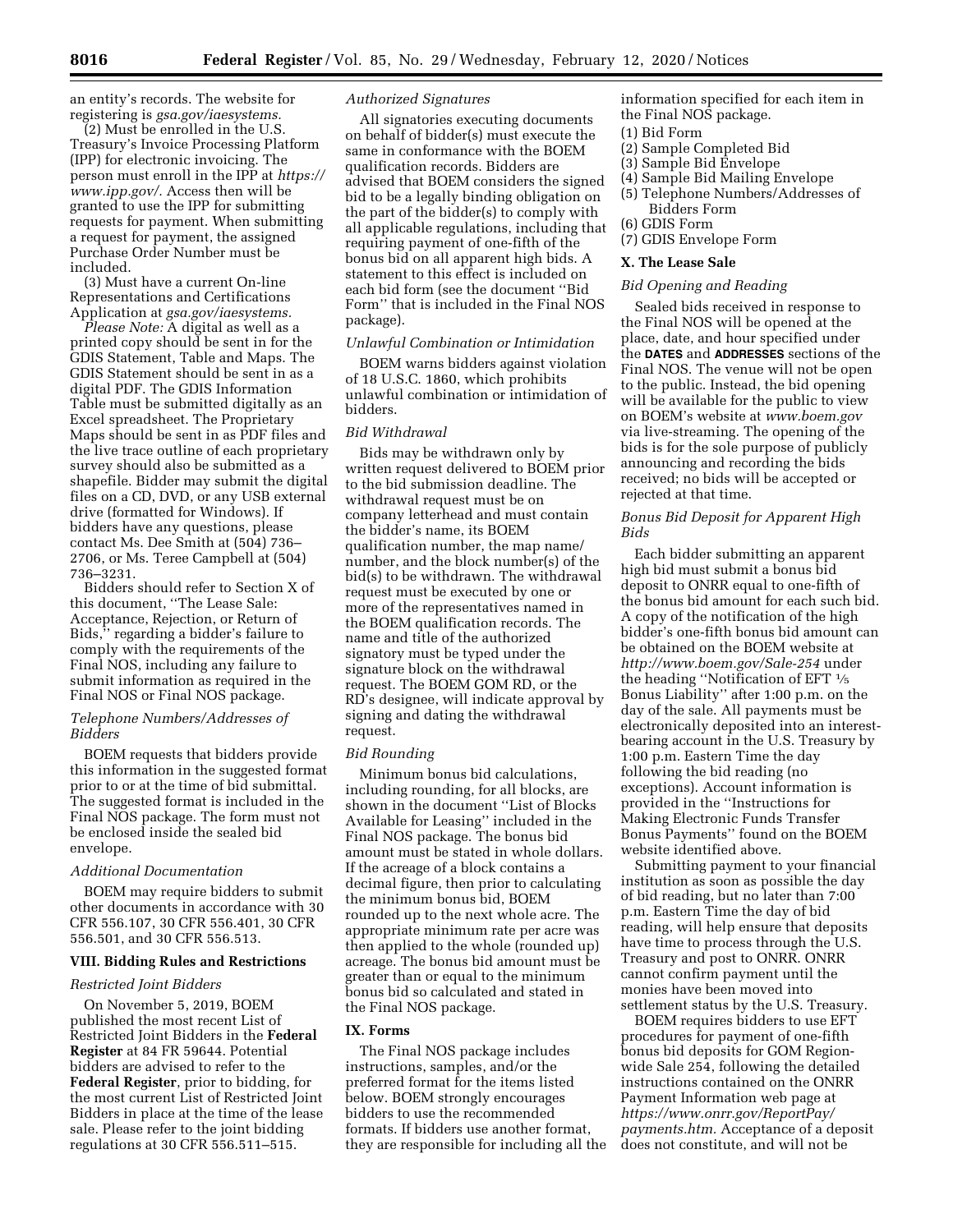an entity's records. The website for registering is *gsa.gov/iaesystems.* 

(2) Must be enrolled in the U.S. Treasury's Invoice Processing Platform (IPP) for electronic invoicing. The person must enroll in the IPP at *[https://](https://www.ipp.gov/)  [www.ipp.gov/.](https://www.ipp.gov/)* Access then will be granted to use the IPP for submitting requests for payment. When submitting a request for payment, the assigned Purchase Order Number must be included.

(3) Must have a current On-line Representations and Certifications Application at *gsa.gov/iaesystems.* 

*Please Note:* A digital as well as a printed copy should be sent in for the GDIS Statement, Table and Maps. The GDIS Statement should be sent in as a digital PDF. The GDIS Information Table must be submitted digitally as an Excel spreadsheet. The Proprietary Maps should be sent in as PDF files and the live trace outline of each proprietary survey should also be submitted as a shapefile. Bidder may submit the digital files on a CD, DVD, or any USB external drive (formatted for Windows). If bidders have any questions, please contact Ms. Dee Smith at (504) 736– 2706, or Ms. Teree Campbell at (504) 736–3231.

Bidders should refer to Section X of this document, ''The Lease Sale: Acceptance, Rejection, or Return of Bids,'' regarding a bidder's failure to comply with the requirements of the Final NOS, including any failure to submit information as required in the Final NOS or Final NOS package.

### *Telephone Numbers/Addresses of Bidders*

BOEM requests that bidders provide this information in the suggested format prior to or at the time of bid submittal. The suggested format is included in the Final NOS package. The form must not be enclosed inside the sealed bid envelope.

## *Additional Documentation*

BOEM may require bidders to submit other documents in accordance with 30 CFR 556.107, 30 CFR 556.401, 30 CFR 556.501, and 30 CFR 556.513.

### **VIII. Bidding Rules and Restrictions**

### *Restricted Joint Bidders*

On November 5, 2019, BOEM published the most recent List of Restricted Joint Bidders in the **Federal Register** at 84 FR 59644. Potential bidders are advised to refer to the **Federal Register**, prior to bidding, for the most current List of Restricted Joint Bidders in place at the time of the lease sale. Please refer to the joint bidding regulations at 30 CFR 556.511–515.

### *Authorized Signatures*

All signatories executing documents on behalf of bidder(s) must execute the same in conformance with the BOEM qualification records. Bidders are advised that BOEM considers the signed bid to be a legally binding obligation on the part of the bidder(s) to comply with all applicable regulations, including that requiring payment of one-fifth of the bonus bid on all apparent high bids. A statement to this effect is included on each bid form (see the document ''Bid Form'' that is included in the Final NOS package).

## *Unlawful Combination or Intimidation*

BOEM warns bidders against violation of 18 U.S.C. 1860, which prohibits unlawful combination or intimidation of bidders.

### *Bid Withdrawal*

Bids may be withdrawn only by written request delivered to BOEM prior to the bid submission deadline. The withdrawal request must be on company letterhead and must contain the bidder's name, its BOEM qualification number, the map name/ number, and the block number(s) of the bid(s) to be withdrawn. The withdrawal request must be executed by one or more of the representatives named in the BOEM qualification records. The name and title of the authorized signatory must be typed under the signature block on the withdrawal request. The BOEM GOM RD, or the RD's designee, will indicate approval by signing and dating the withdrawal request.

#### *Bid Rounding*

Minimum bonus bid calculations, including rounding, for all blocks, are shown in the document ''List of Blocks Available for Leasing'' included in the Final NOS package. The bonus bid amount must be stated in whole dollars. If the acreage of a block contains a decimal figure, then prior to calculating the minimum bonus bid, BOEM rounded up to the next whole acre. The appropriate minimum rate per acre was then applied to the whole (rounded up) acreage. The bonus bid amount must be greater than or equal to the minimum bonus bid so calculated and stated in the Final NOS package.

#### **IX. Forms**

The Final NOS package includes instructions, samples, and/or the preferred format for the items listed below. BOEM strongly encourages bidders to use the recommended formats. If bidders use another format, they are responsible for including all the information specified for each item in the Final NOS package.

- (1) Bid Form
- (2) Sample Completed Bid
- (3) Sample Bid Envelope
- (4) Sample Bid Mailing Envelope
- (5) Telephone Numbers/Addresses of Bidders Form
- (6) GDIS Form
- (7) GDIS Envelope Form

### **X. The Lease Sale**

#### *Bid Opening and Reading*

Sealed bids received in response to the Final NOS will be opened at the place, date, and hour specified under the **DATES** and **ADDRESSES** sections of the Final NOS. The venue will not be open to the public. Instead, the bid opening will be available for the public to view on BOEM's website at *[www.boem.gov](http://www.boem.gov)*  via live-streaming. The opening of the bids is for the sole purpose of publicly announcing and recording the bids received; no bids will be accepted or rejected at that time.

## *Bonus Bid Deposit for Apparent High Bids*

Each bidder submitting an apparent high bid must submit a bonus bid deposit to ONRR equal to one-fifth of the bonus bid amount for each such bid. A copy of the notification of the high bidder's one-fifth bonus bid amount can be obtained on the BOEM website at *<http://www.boem.gov/Sale-254>* under the heading ''Notification of EFT  $\frac{1}{5}$ Bonus Liability'' after 1:00 p.m. on the day of the sale. All payments must be electronically deposited into an interestbearing account in the U.S. Treasury by 1:00 p.m. Eastern Time the day following the bid reading (no exceptions). Account information is provided in the ''Instructions for Making Electronic Funds Transfer Bonus Payments'' found on the BOEM website identified above.

Submitting payment to your financial institution as soon as possible the day of bid reading, but no later than 7:00 p.m. Eastern Time the day of bid reading, will help ensure that deposits have time to process through the U.S. Treasury and post to ONRR. ONRR cannot confirm payment until the monies have been moved into settlement status by the U.S. Treasury.

BOEM requires bidders to use EFT procedures for payment of one-fifth bonus bid deposits for GOM Regionwide Sale 254, following the detailed instructions contained on the ONRR Payment Information web page at *[https://www.onrr.gov/ReportPay/](https://www.onrr.gov/ReportPay/payments.htm) [payments.htm.](https://www.onrr.gov/ReportPay/payments.htm)* Acceptance of a deposit does not constitute, and will not be